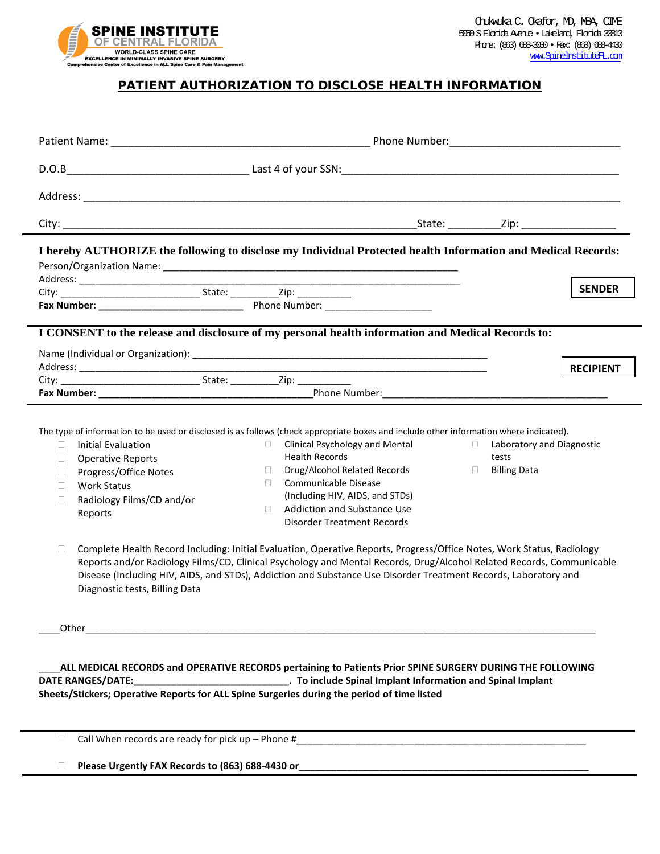

## PATIENT AUTHORIZATION TO DISCLOSE HEALTH INFORMATION

| I hereby AUTHORIZE the following to disclose my Individual Protected health Information and Medical Records:                                                                                                             |                                                                                                                                                                                                                                                                                                                                                                                                                                                                                                                                                                                                                                                                                                                                                                                                                                                                          |                  |
|--------------------------------------------------------------------------------------------------------------------------------------------------------------------------------------------------------------------------|--------------------------------------------------------------------------------------------------------------------------------------------------------------------------------------------------------------------------------------------------------------------------------------------------------------------------------------------------------------------------------------------------------------------------------------------------------------------------------------------------------------------------------------------------------------------------------------------------------------------------------------------------------------------------------------------------------------------------------------------------------------------------------------------------------------------------------------------------------------------------|------------------|
|                                                                                                                                                                                                                          |                                                                                                                                                                                                                                                                                                                                                                                                                                                                                                                                                                                                                                                                                                                                                                                                                                                                          | <b>SENDER</b>    |
|                                                                                                                                                                                                                          |                                                                                                                                                                                                                                                                                                                                                                                                                                                                                                                                                                                                                                                                                                                                                                                                                                                                          |                  |
| I CONSENT to the release and disclosure of my personal health information and Medical Records to:                                                                                                                        |                                                                                                                                                                                                                                                                                                                                                                                                                                                                                                                                                                                                                                                                                                                                                                                                                                                                          |                  |
|                                                                                                                                                                                                                          |                                                                                                                                                                                                                                                                                                                                                                                                                                                                                                                                                                                                                                                                                                                                                                                                                                                                          | <b>RECIPIENT</b> |
|                                                                                                                                                                                                                          |                                                                                                                                                                                                                                                                                                                                                                                                                                                                                                                                                                                                                                                                                                                                                                                                                                                                          |                  |
| Initial Evaluation<br>$\mathbf{L}$<br><b>Operative Reports</b><br>П<br>Progress/Office Notes<br>П<br><b>Work Status</b><br>П<br>Radiology Films/CD and/or<br>$\Box$<br>Reports<br>□<br>Diagnostic tests, Billing Data    | The type of information to be used or disclosed is as follows (check appropriate boxes and include other information where indicated).<br>Clinical Psychology and Mental<br>Laboratory and Diagnostic<br>$\Box$<br>$\Box$<br><b>Health Records</b><br>tests<br>Drug/Alcohol Related Records<br><b>Billing Data</b><br>$\Box$<br>$\Box$<br>Communicable Disease<br>$\mathbf{L}$<br>(Including HIV, AIDS, and STDs)<br><b>Addiction and Substance Use</b><br>П.<br><b>Disorder Treatment Records</b><br>Complete Health Record Including: Initial Evaluation, Operative Reports, Progress/Office Notes, Work Status, Radiology<br>Reports and/or Radiology Films/CD, Clinical Psychology and Mental Records, Drug/Alcohol Related Records, Communicable<br>Disease (Including HIV, AIDS, and STDs), Addiction and Substance Use Disorder Treatment Records, Laboratory and |                  |
| ALL MEDICAL RECORDS and OPERATIVE RECORDS pertaining to Patients Prior SPINE SURGERY DURING THE FOLLOWING<br>Latter and Spinal Implant Information and Spinal Implace Lie and Spinal Implant<br><b>DATE RANGES/DATE:</b> |                                                                                                                                                                                                                                                                                                                                                                                                                                                                                                                                                                                                                                                                                                                                                                                                                                                                          |                  |
| Sheets/Stickers; Operative Reports for ALL Spine Surgeries during the period of time listed                                                                                                                              |                                                                                                                                                                                                                                                                                                                                                                                                                                                                                                                                                                                                                                                                                                                                                                                                                                                                          |                  |

 $\Box$  Call When records are ready for pick up - Phone #

**Please Urgently FAX Records to (863) 688-4430 or**\_\_\_\_\_\_\_\_\_\_\_\_\_\_\_\_\_\_\_\_\_\_\_\_\_\_\_\_\_\_\_\_\_\_\_\_\_\_\_\_\_\_\_\_\_\_\_\_\_\_\_\_\_\_